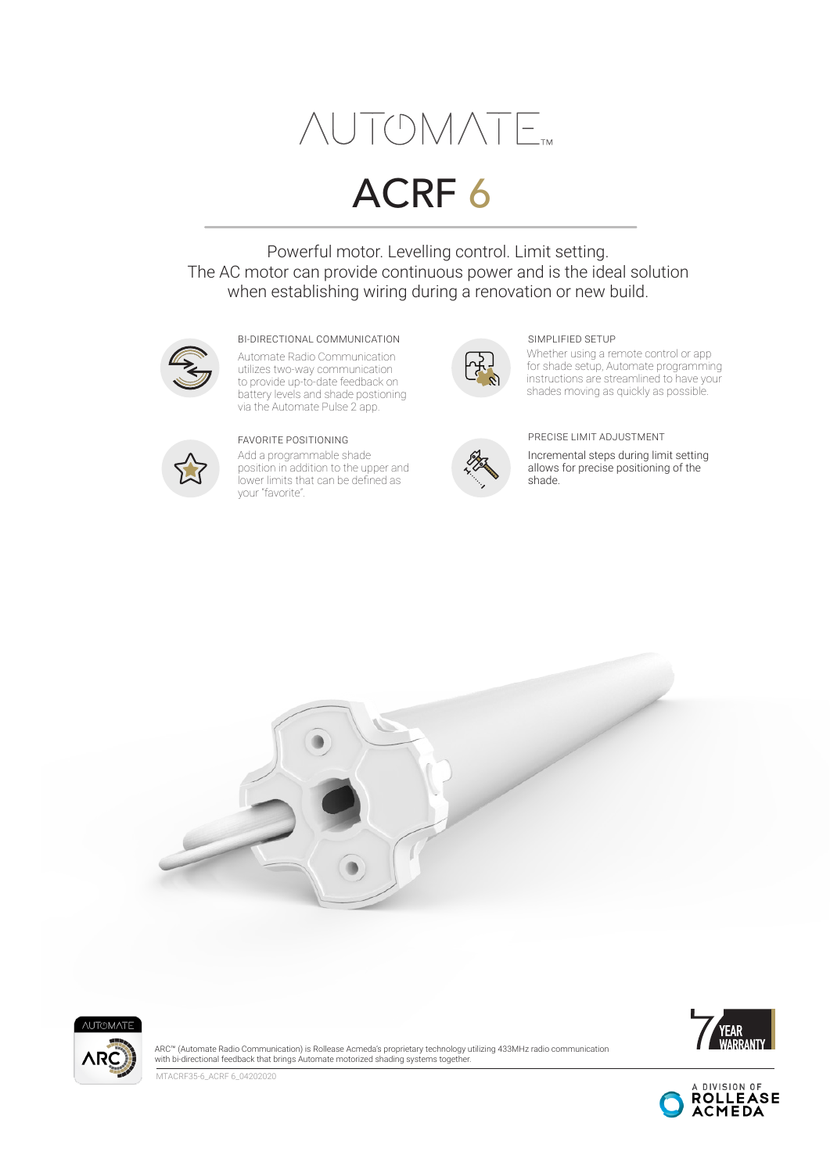# $\triangle UTOMATE$

# ACRF 6

Powerful motor. Levelling control. Limit setting. The AC motor can provide continuous power and is the ideal solution when establishing wiring during a renovation or new build.



#### BI-DIRECTIONAL COMMUNICATION SIMPLIFIED SETUP

Automate Radio Communication utilizes two-way communication to provide up-to-date feedback on battery levels and shade postioning via the Automate Pulse 2 app.



Add a programmable shade position in addition to the upper and lower limits that can be defined as your "favorite".



Whether using a remote control or app for shade setup, Automate programming instructions are streamlined to have your shades moving as quickly as possible.



#### FAVORITE POSITIONING PRECISE LIMIT ADJUSTMENT

Incremental steps during limit setting allows for precise positioning of the shade.







ARC™ (Automate Radio Communication) is Rollease Acmeda's proprietary technology utilizing 433MHz radio communication with bi-directional feedback that brings Automate motorized shading systems together.

MTACRF35-6\_ACRF 6\_04202020